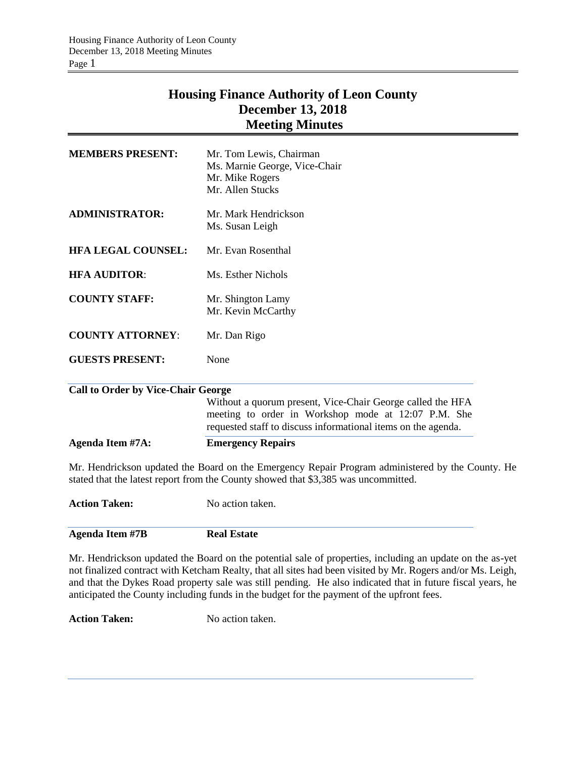# **Housing Finance Authority of Leon County December 13, 2018 Meeting Minutes**

| <b>MEMBERS PRESENT:</b>                   | Mr. Tom Lewis, Chairman                                                                                              |  |  |
|-------------------------------------------|----------------------------------------------------------------------------------------------------------------------|--|--|
|                                           | Ms. Marnie George, Vice-Chair                                                                                        |  |  |
|                                           | Mr. Mike Rogers                                                                                                      |  |  |
|                                           | Mr. Allen Stucks                                                                                                     |  |  |
| <b>ADMINISTRATOR:</b>                     | Mr. Mark Hendrickson                                                                                                 |  |  |
|                                           | Ms. Susan Leigh                                                                                                      |  |  |
| <b>HFA LEGAL COUNSEL:</b>                 | Mr. Evan Rosenthal                                                                                                   |  |  |
| <b>HFA AUDITOR:</b>                       | Ms. Esther Nichols                                                                                                   |  |  |
| <b>COUNTY STAFF:</b>                      | Mr. Shington Lamy                                                                                                    |  |  |
|                                           | Mr. Kevin McCarthy                                                                                                   |  |  |
| <b>COUNTY ATTORNEY:</b>                   | Mr. Dan Rigo                                                                                                         |  |  |
| <b>GUESTS PRESENT:</b>                    | None                                                                                                                 |  |  |
| <b>Call to Order by Vice-Chair George</b> |                                                                                                                      |  |  |
|                                           | Without a quorum present, Vice-Chair George called the HFA                                                           |  |  |
|                                           | meeting to order in Workshop mode at 12:07 P.M. She<br>requested staff to discuss informational items on the agenda. |  |  |
| <b>Agenda Item #7A:</b>                   | <b>Emergency Repairs</b>                                                                                             |  |  |
|                                           | Mr. Hendrickson undated the Roard on the Emergency Repair Program administered by the C                              |  |  |

Mr. Hendrickson updated the Board on the Emergency Repair Program administered by the County. He stated that the latest report from the County showed that \$3,385 was uncommitted.

**Action Taken:** No action taken.

**Agenda Item #7B Real Estate**

Mr. Hendrickson updated the Board on the potential sale of properties, including an update on the as-yet not finalized contract with Ketcham Realty, that all sites had been visited by Mr. Rogers and/or Ms. Leigh, and that the Dykes Road property sale was still pending. He also indicated that in future fiscal years, he anticipated the County including funds in the budget for the payment of the upfront fees.

**Action Taken:** No action taken.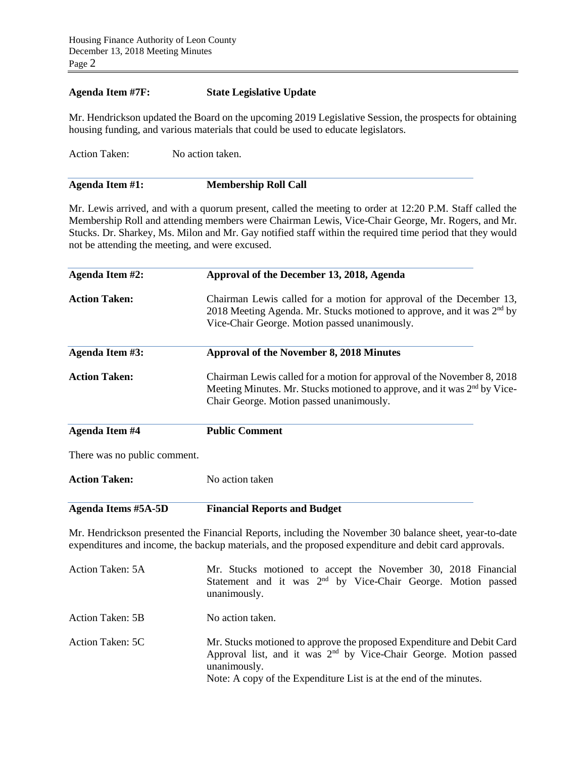## **Agenda Item #7F: State Legislative Update**

Mr. Hendrickson updated the Board on the upcoming 2019 Legislative Session, the prospects for obtaining housing funding, and various materials that could be used to educate legislators.

Action Taken: No action taken.

Mr. Lewis arrived, and with a quorum present, called the meeting to order at 12:20 P.M. Staff called the Membership Roll and attending members were Chairman Lewis, Vice-Chair George, Mr. Rogers, and Mr. Stucks. Dr. Sharkey, Ms. Milon and Mr. Gay notified staff within the required time period that they would not be attending the meeting, and were excused.

| <b>Agenda Item #2:</b>       | Approval of the December 13, 2018, Agenda                                                                                                                                                                       |  |  |
|------------------------------|-----------------------------------------------------------------------------------------------------------------------------------------------------------------------------------------------------------------|--|--|
| <b>Action Taken:</b>         | Chairman Lewis called for a motion for approval of the December 13,<br>2018 Meeting Agenda. Mr. Stucks motioned to approve, and it was 2 <sup>nd</sup> by<br>Vice-Chair George. Motion passed unanimously.      |  |  |
| Agenda Item #3:              | <b>Approval of the November 8, 2018 Minutes</b>                                                                                                                                                                 |  |  |
| <b>Action Taken:</b>         | Chairman Lewis called for a motion for approval of the November 8, 2018<br>Meeting Minutes. Mr. Stucks motioned to approve, and it was 2 <sup>nd</sup> by Vice-<br>Chair George. Motion passed unanimously.     |  |  |
| <b>Agenda Item #4</b>        | <b>Public Comment</b>                                                                                                                                                                                           |  |  |
| There was no public comment. |                                                                                                                                                                                                                 |  |  |
| <b>Action Taken:</b>         | No action taken                                                                                                                                                                                                 |  |  |
| <b>Agenda Items #5A-5D</b>   | <b>Financial Reports and Budget</b>                                                                                                                                                                             |  |  |
|                              | Mr. Hendrickson presented the Financial Reports, including the November 30 balance sheet, year-to-date<br>expenditures and income, the backup materials, and the proposed expenditure and debit card approvals. |  |  |
| Action Taken: 5A             | Mr. Stucks motioned to accept the November 30, 2018 Financial<br>Statement and it was 2 <sup>nd</sup> by Vice-Chair George. Motion passed<br>unanimously.                                                       |  |  |

- Action Taken: 5B No action taken.
- Action Taken: 5C Mr. Stucks motioned to approve the proposed Expenditure and Debit Card Approval list, and it was 2<sup>nd</sup> by Vice-Chair George. Motion passed unanimously. Note: A copy of the Expenditure List is at the end of the minutes.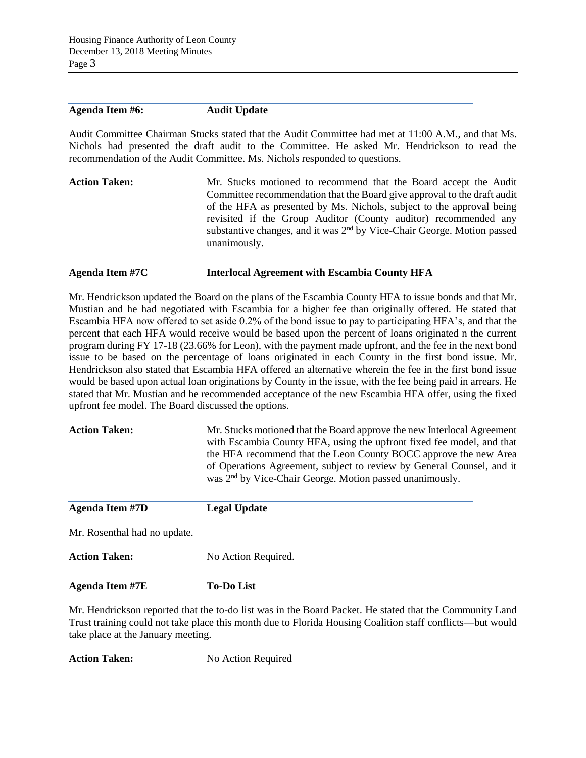#### **Agenda Item #6: Audit Update**

Audit Committee Chairman Stucks stated that the Audit Committee had met at 11:00 A.M., and that Ms. Nichols had presented the draft audit to the Committee. He asked Mr. Hendrickson to read the recommendation of the Audit Committee. Ms. Nichols responded to questions.

**Action Taken:** Mr. Stucks motioned to recommend that the Board accept the Audit Committee recommendation that the Board give approval to the draft audit of the HFA as presented by Ms. Nichols, subject to the approval being revisited if the Group Auditor (County auditor) recommended any substantive changes, and it was  $2<sup>nd</sup>$  by Vice-Chair George. Motion passed unanimously.

#### **Agenda Item #7C Interlocal Agreement with Escambia County HFA**

Mr. Hendrickson updated the Board on the plans of the Escambia County HFA to issue bonds and that Mr. Mustian and he had negotiated with Escambia for a higher fee than originally offered. He stated that Escambia HFA now offered to set aside 0.2% of the bond issue to pay to participating HFA's, and that the percent that each HFA would receive would be based upon the percent of loans originated n the current program during FY 17-18 (23.66% for Leon), with the payment made upfront, and the fee in the next bond issue to be based on the percentage of loans originated in each County in the first bond issue. Mr. Hendrickson also stated that Escambia HFA offered an alternative wherein the fee in the first bond issue would be based upon actual loan originations by County in the issue, with the fee being paid in arrears. He stated that Mr. Mustian and he recommended acceptance of the new Escambia HFA offer, using the fixed upfront fee model. The Board discussed the options.

| <b>Action Taken:</b>         | Mr. Stucks motioned that the Board approve the new Interlocal Agreement<br>with Escambia County HFA, using the upfront fixed fee model, and that<br>the HFA recommend that the Leon County BOCC approve the new Area<br>of Operations Agreement, subject to review by General Counsel, and it<br>was 2 <sup>nd</sup> by Vice-Chair George. Motion passed unanimously. |  |  |
|------------------------------|-----------------------------------------------------------------------------------------------------------------------------------------------------------------------------------------------------------------------------------------------------------------------------------------------------------------------------------------------------------------------|--|--|
| <b>Agenda Item #7D</b>       | <b>Legal Update</b>                                                                                                                                                                                                                                                                                                                                                   |  |  |
| Mr. Rosenthal had no update. |                                                                                                                                                                                                                                                                                                                                                                       |  |  |
| <b>Action Taken:</b>         | No Action Required.                                                                                                                                                                                                                                                                                                                                                   |  |  |
| <b>Agenda Item #7E</b>       | <b>To-Do List</b>                                                                                                                                                                                                                                                                                                                                                     |  |  |

Mr. Hendrickson reported that the to-do list was in the Board Packet. He stated that the Community Land Trust training could not take place this month due to Florida Housing Coalition staff conflicts—but would take place at the January meeting.

**Action Taken:** No Action Required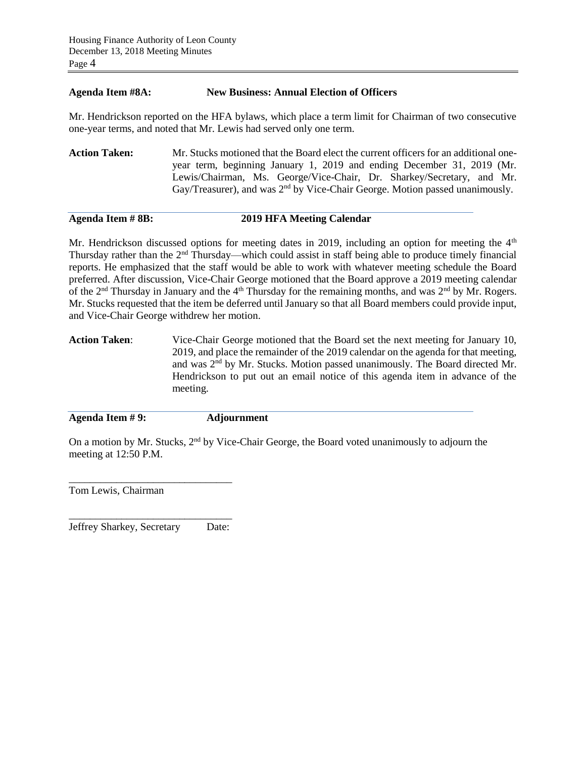#### **Agenda Item #8A: New Business: Annual Election of Officers**

Mr. Hendrickson reported on the HFA bylaws, which place a term limit for Chairman of two consecutive one-year terms, and noted that Mr. Lewis had served only one term.

**Action Taken:** Mr. Stucks motioned that the Board elect the current officers for an additional oneyear term, beginning January 1, 2019 and ending December 31, 2019 (Mr. Lewis/Chairman, Ms. George/Vice-Chair, Dr. Sharkey/Secretary, and Mr. Gay/Treasurer), and was 2<sup>nd</sup> by Vice-Chair George. Motion passed unanimously.

## **Agenda Item # 8B: 2019 HFA Meeting Calendar**

Mr. Hendrickson discussed options for meeting dates in 2019, including an option for meeting the  $4<sup>th</sup>$ Thursday rather than the  $2<sup>nd</sup>$  Thursday—which could assist in staff being able to produce timely financial reports. He emphasized that the staff would be able to work with whatever meeting schedule the Board preferred. After discussion, Vice-Chair George motioned that the Board approve a 2019 meeting calendar of the  $2<sup>nd</sup>$  Thursday in January and the  $4<sup>th</sup>$  Thursday for the remaining months, and was  $2<sup>nd</sup>$  by Mr. Rogers. Mr. Stucks requested that the item be deferred until January so that all Board members could provide input, and Vice-Chair George withdrew her motion.

**Action Taken**: Vice-Chair George motioned that the Board set the next meeting for January 10, 2019, and place the remainder of the 2019 calendar on the agenda for that meeting, and was 2nd by Mr. Stucks. Motion passed unanimously. The Board directed Mr. Hendrickson to put out an email notice of this agenda item in advance of the meeting.

**Agenda Item # 9: Adjournment**

On a motion by Mr. Stucks, 2<sup>nd</sup> by Vice-Chair George, the Board voted unanimously to adjourn the meeting at 12:50 P.M.

Tom Lewis, Chairman

\_\_\_\_\_\_\_\_\_\_\_\_\_\_\_\_\_\_\_\_\_\_\_\_\_\_\_\_\_\_\_ Jeffrey Sharkey, Secretary Date:

\_\_\_\_\_\_\_\_\_\_\_\_\_\_\_\_\_\_\_\_\_\_\_\_\_\_\_\_\_\_\_